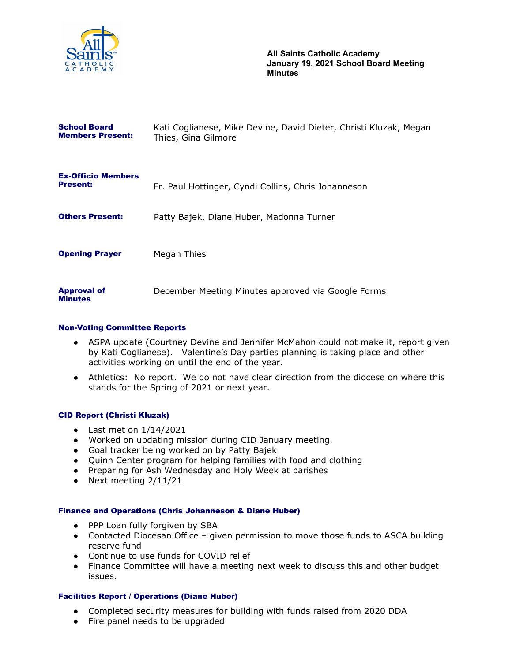

| <b>School Board</b><br><b>Members Present:</b> | Kati Coglianese, Mike Devine, David Dieter, Christi Kluzak, Megan<br>Thies, Gina Gilmore |
|------------------------------------------------|------------------------------------------------------------------------------------------|
| <b>Ex-Officio Members</b><br><b>Present:</b>   | Fr. Paul Hottinger, Cyndi Collins, Chris Johanneson                                      |
| <b>Others Present:</b>                         | Patty Bajek, Diane Huber, Madonna Turner                                                 |
| <b>Opening Prayer</b>                          | Megan Thies                                                                              |
| <b>Approval of</b><br><b>Minutes</b>           | December Meeting Minutes approved via Google Forms                                       |

#### Non-Voting Committee Reports

- ASPA update (Courtney Devine and Jennifer McMahon could not make it, report given by Kati Coglianese). Valentine's Day parties planning is taking place and other activities working on until the end of the year.
- Athletics: No report. We do not have clear direction from the diocese on where this stands for the Spring of 2021 or next year.

# CID Report (Christi Kluzak)

- $\bullet$  Last met on  $1/14/2021$
- Worked on updating mission during CID January meeting.
- Goal tracker being worked on by Patty Bajek
- Quinn Center program for helping families with food and clothing
- Preparing for Ash Wednesday and Holy Week at parishes
- Next meeting 2/11/21

#### Finance and Operations (Chris Johanneson & Diane Huber)

- PPP Loan fully forgiven by SBA
- Contacted Diocesan Office given permission to move those funds to ASCA building reserve fund
- Continue to use funds for COVID relief
- Finance Committee will have a meeting next week to discuss this and other budget issues.

### Facilities Report / Operations (Diane Huber)

- Completed security measures for building with funds raised from 2020 DDA
- Fire panel needs to be upgraded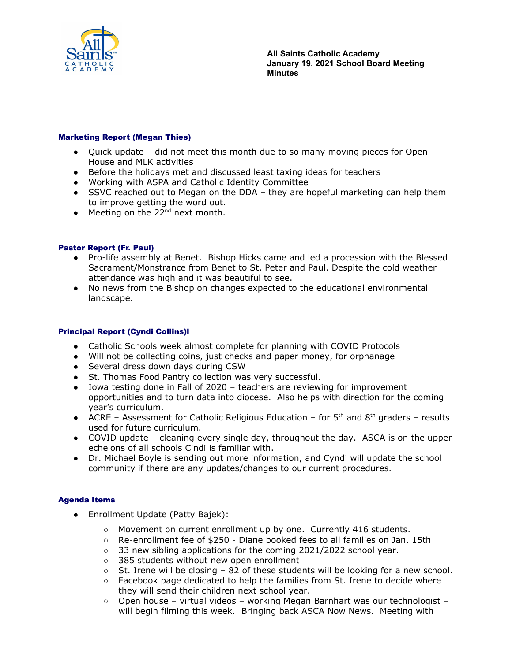

# Marketing Report (Megan Thies)

- Quick update did not meet this month due to so many moving pieces for Open House and MLK activities
- Before the holidays met and discussed least taxing ideas for teachers
- Working with ASPA and Catholic Identity Committee
- SSVC reached out to Megan on the DDA they are hopeful marketing can help them to improve getting the word out.
- $\bullet$  Meeting on the 22<sup>nd</sup> next month.

### Pastor Report (Fr. Paul)

- Pro-life assembly at Benet. Bishop Hicks came and led a procession with the Blessed Sacrament/Monstrance from Benet to St. Peter and Paul. Despite the cold weather attendance was high and it was beautiful to see.
- No news from the Bishop on changes expected to the educational environmental landscape.

#### Principal Report (Cyndi Collins)l

- Catholic Schools week almost complete for planning with COVID Protocols
- Will not be collecting coins, just checks and paper money, for orphanage
- Several dress down days during CSW
- St. Thomas Food Pantry collection was very successful.
- Iowa testing done in Fall of 2020 teachers are reviewing for improvement opportunities and to turn data into diocese. Also helps with direction for the coming year's curriculum.
- ACRE Assessment for Catholic Religious Education for  $5<sup>th</sup>$  and  $8<sup>th</sup>$  graders results used for future curriculum.
- COVID update cleaning every single day, throughout the day. ASCA is on the upper echelons of all schools Cindi is familiar with.
- Dr. Michael Boyle is sending out more information, and Cyndi will update the school community if there are any updates/changes to our current procedures.

# Agenda Items

- Enrollment Update (Patty Bajek):
	- Movement on current enrollment up by one. Currently 416 students.
	- Re-enrollment fee of \$250 Diane booked fees to all families on Jan. 15th
	- 33 new sibling applications for the coming 2021/2022 school year.
	- 385 students without new open enrollment
	- $\circ$  St. Irene will be closing 82 of these students will be looking for a new school.
	- $\circ$  Facebook page dedicated to help the families from St. Irene to decide where they will send their children next school year.
	- $\circ$  Open house virtual videos working Megan Barnhart was our technologist will begin filming this week. Bringing back ASCA Now News. Meeting with